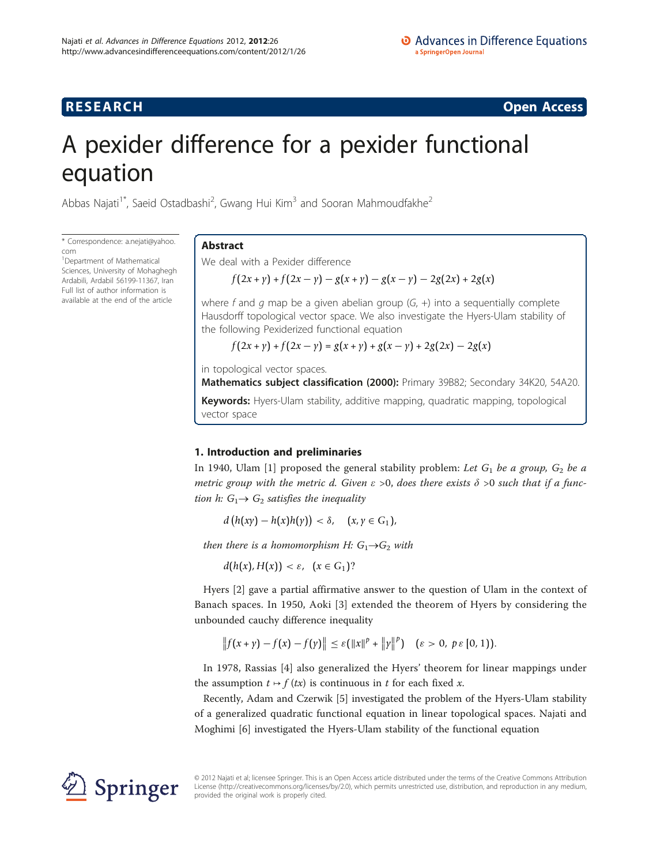## **RESEARCH CONSTRUCTION CONSTRUCTS**

# A pexider difference for a pexider functional equation

Abbas Najati<sup>1\*</sup>, Saeid Ostadbashi<sup>2</sup>, Gwang Hui Kim<sup>3</sup> and Sooran Mahmoudfakhe<sup>2</sup>

\* Correspondence: [a.nejati@yahoo.](mailto:a.nejati@yahoo.com) [com](mailto:a.nejati@yahoo.com)

<sup>1</sup>Department of Mathematical Sciences, University of Mohaghegh Ardabili, Ardabil 56199-11367, Iran Full list of author information is available at the end of the article

## Abstract

We deal with a Pexider difference

 $f(2x + y) + f(2x - y) - g(x + y) - g(x - y) - 2g(2x) + 2g(x)$ 

where f and  $q$  map be a given abelian group  $(G, +)$  into a sequentially complete Hausdorff topological vector space. We also investigate the Hyers-Ulam stability of the following Pexiderized functional equation

 $f(2x + y) + f(2x - y) = g(x + y) + g(x - y) + 2g(2x) - 2g(x)$ 

in topological vector spaces.

Mathematics subject classification (2000): Primary 39B82; Secondary 34K20, 54A20.

Keywords: Hyers-Ulam stability, additive mapping, quadratic mapping, topological vector space

## 1. Introduction and preliminaries

In 1940, Ulam [[1\]](#page-5-0) proposed the general stability problem: Let  $G_1$  be a group,  $G_2$  be a metric group with the metric d. Given  $\varepsilon > 0$ , does there exists  $\delta > 0$  such that if a function h:  $G_1 \rightarrow G_2$  satisfies the inequality

 $d(h(xy) - h(x)h(y)) < δ,$  (*x*, *y* ∈ *G*<sub>1</sub>),

then there is a homomorphism H:  $G_1 \rightarrow G_2$  with

 $d(h(x), H(x)) < \varepsilon$ ,  $(x \in G_1)$ ?

Hyers [[2\]](#page-5-0) gave a partial affirmative answer to the question of Ulam in the context of Banach spaces. In 1950, Aoki [[3\]](#page-5-0) extended the theorem of Hyers by considering the unbounded cauchy difference inequality

$$
|| f(x + y) - f(x) - f(y)|| \le \varepsilon (||x||^p + ||y||^p) \quad (\varepsilon > 0, \ p \varepsilon [0, 1]).
$$

In 1978, Rassias [[4\]](#page-5-0) also generalized the Hyers' theorem for linear mappings under the assumption  $t \mapsto f(tx)$  is continuous in t for each fixed x.

Recently, Adam and Czerwik [[5\]](#page-5-0) investigated the problem of the Hyers-Ulam stability of a generalized quadratic functional equation in linear topological spaces. Najati and Moghimi [\[6](#page-5-0)] investigated the Hyers-Ulam stability of the functional equation



© 2012 Najati et al; licensee Springer. This is an Open Access article distributed under the terms of the Creative Commons Attribution License [\(http://creativecommons.org/licenses/by/2.0](http://creativecommons.org/licenses/by/2.0)), which permits unrestricted use, distribution, and reproduction in any medium, provided the original work is properly cited.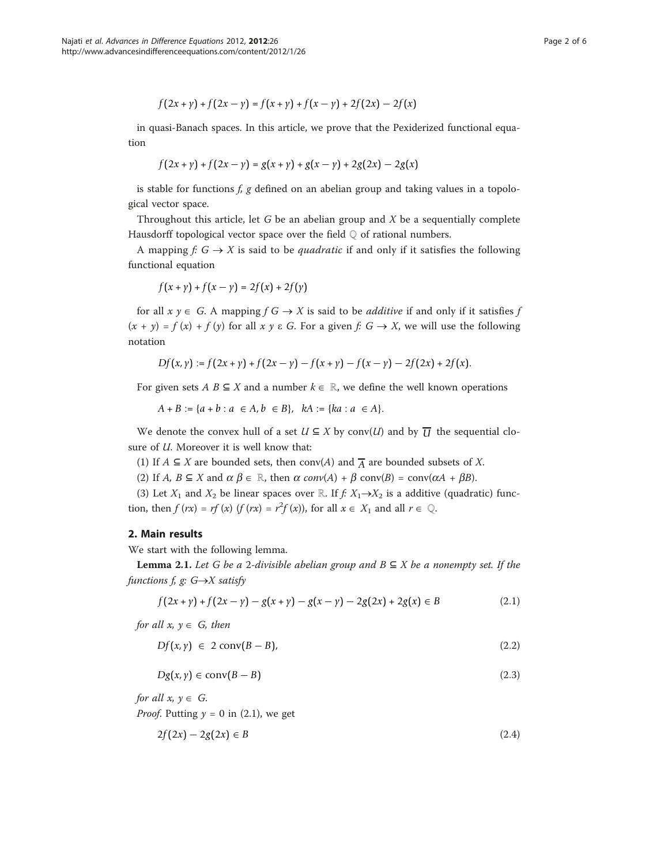$$
f(2x + y) + f(2x - y) = f(x + y) + f(x - y) + 2f(2x) - 2f(x)
$$

in quasi-Banach spaces. In this article, we prove that the Pexiderized functional equation

$$
f(2x + y) + f(2x - y) = g(x + y) + g(x - y) + 2g(2x) - 2g(x)
$$

is stable for functions  $f$ ,  $g$  defined on an abelian group and taking values in a topological vector space.

Throughout this article, let  $G$  be an abelian group and  $X$  be a sequentially complete Hausdorff topological vector space over the field  $\mathbb Q$  of rational numbers.

A mapping  $f: G \to X$  is said to be *quadratic* if and only if it satisfies the following functional equation

$$
f(x + y) + f(x - y) = 2f(x) + 2f(y)
$$

for all  $x \, y \in G$ . A mapping  $f \, G \rightarrow X$  is said to be *additive* if and only if it satisfies f  $(x + y) = f(x) + f(y)$  for all  $x y \in G$ . For a given  $f: G \to X$ , we will use the following notation

$$
Df(x,y) := f(2x+y) + f(2x-y) - f(x+y) - f(x-y) - 2f(2x) + 2f(x).
$$

For given sets  $A \, B \subseteq X$  and a number  $k \in \mathbb{R}$ , we define the well known operations

 $A + B := \{a + b : a \in A, b \in B\}, kA := \{ka : a \in A\}.$ 

We denote the convex hull of a set  $U \subseteq X$  by conv(U) and by  $\overline{U}$  the sequential closure of  $U$ . Moreover it is well know that:

- (1) If  $A \subseteq X$  are bounded sets, then conv(A) and  $\overline{A}$  are bounded subsets of X.
- (2) If A,  $B \subseteq X$  and  $\alpha \beta \in \mathbb{R}$ , then  $\alpha$  conv(A) +  $\beta$  conv(B) = conv( $\alpha A + \beta B$ ).

(3) Let  $X_1$  and  $X_2$  be linear spaces over ℝ. If  $f: X_1 \rightarrow X_2$  is a additive (quadratic) function, then  $f(rx) = rf(x)$   $(f(rx) = r^2f(x))$ , for all  $x \in X_1$  and all  $r \in \mathbb{Q}$ .

#### 2. Main results

We start with the following lemma.

**Lemma 2.1.** Let G be a 2-divisible abelian group and  $B \subseteq X$  be a nonempty set. If the functions f, g:  $G \rightarrow X$  satisfy

$$
f(2x + y) + f(2x - y) - g(x + y) - g(x - y) - 2g(2x) + 2g(x) \in B
$$
\n(2.1)

for all  $x, y \in G$ , then

$$
Df(x, y) \in 2 \operatorname{conv}(B - B), \tag{2.2}
$$

$$
Dg(x, y) \in conv(B - B) \tag{2.3}
$$

for all  $x, y \in G$ .

*Proof.* Putting  $y = 0$  in (2.1), we get

$$
2f(2x) - 2g(2x) \in B \tag{2.4}
$$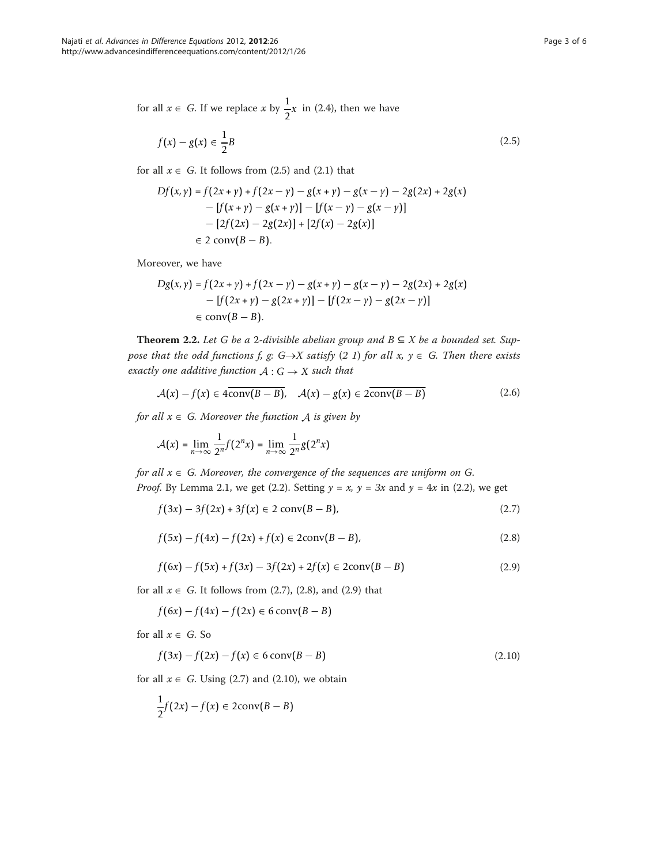for all  $x \in G$ . If we replace x by  $\frac{1}{2}x$  in (2.4), then we have

$$
f(x) - g(x) \in \frac{1}{2}B\tag{2.5}
$$

for all  $x \in G$ . It follows from (2.5) and (2.1) that

$$
Df(x, y) = f(2x + y) + f(2x - y) - g(x + y) - g(x - y) - 2g(2x) + 2g(x)
$$
  
- 
$$
[f(x + y) - g(x + y)] - [f(x - y) - g(x - y)]
$$
  
- 
$$
[2f(2x) - 2g(2x)] + [2f(x) - 2g(x)]
$$
  

$$
\in 2 \text{ conv}(B - B).
$$

Moreover, we have

$$
Dg(x, y) = f(2x + y) + f(2x - y) - g(x + y) - g(x - y) - 2g(2x) + 2g(x)
$$
  
- 
$$
[f(2x + y) - g(2x + y)] - [f(2x - y) - g(2x - y)]
$$
  

$$
\in \text{conv}(B - B).
$$

Theorem 2.2. Let G be a 2-divisible abelian group and  $B ⊆ X$  be a bounded set. Suppose that the odd functions f, g: G $\rightarrow$ X satisfy (2 1) for all x,  $y \in G$ . Then there exists exactly one additive function  $A: G \rightarrow X$  such that

$$
\mathcal{A}(x) - f(x) \in 4\overline{\text{conv}(B - B)}, \quad \mathcal{A}(x) - g(x) \in 2\overline{\text{conv}(B - B)}\tag{2.6}
$$

for all  $x \in G$ . Moreover the function *A* is given by

$$
\mathcal{A}(x) = \lim_{n \to \infty} \frac{1}{2^n} f(2^n x) = \lim_{n \to \infty} \frac{1}{2^n} g(2^n x)
$$

for all  $x \in G$ . Moreover, the convergence of the sequences are uniform on G. *Proof.* By Lemma 2.1, we get (2.2). Setting  $y = x$ ,  $y = 3x$  and  $y = 4x$  in (2.2), we get

$$
f(3x) - 3f(2x) + 3f(x) \in 2 \text{ conv}(B - B),
$$
\n(2.7)

$$
f(5x) - f(4x) - f(2x) + f(x) \in 2\text{conv}(B - B),\tag{2.8}
$$

$$
f(6x) - f(5x) + f(3x) - 3f(2x) + 2f(x) \in 2\text{conv}(B - B)
$$
\n(2.9)

for all  $x \in G$ . It follows from (2.7), (2.8), and (2.9) that

$$
f(6x) - f(4x) - f(2x) \in 6 \operatorname{conv}(B - B)
$$

for all  $x \in G$ . So

$$
f(3x) - f(2x) - f(x) \in 6 \operatorname{conv}(B - B)
$$
\n(2.10)

for all  $x \in G$ . Using (2.7) and (2.10), we obtain

$$
\frac{1}{2}f(2x) - f(x) \in 2\operatorname{conv}(B - B)
$$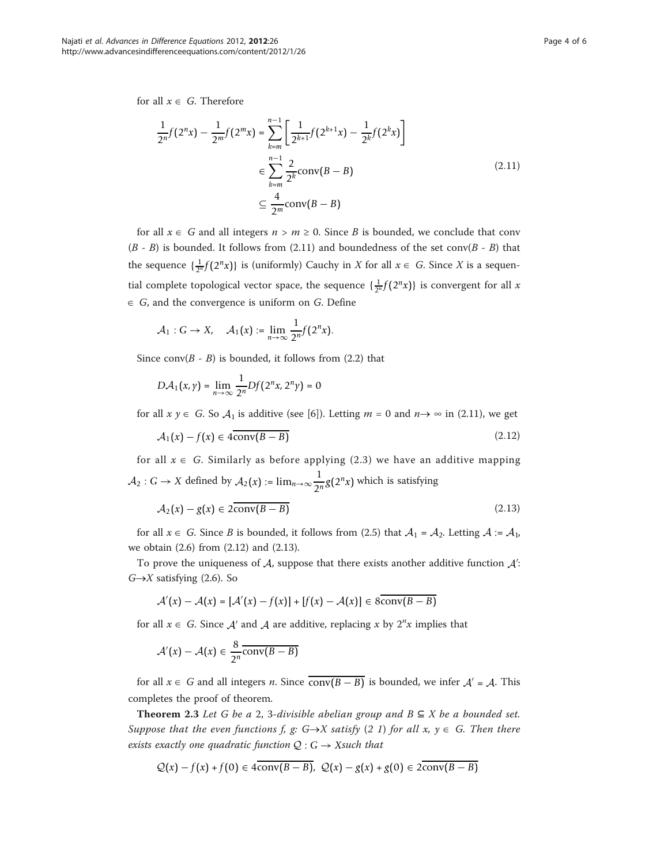for all  $x \in G$ . Therefore

$$
\frac{1}{2^n}f(2^n x) - \frac{1}{2^m}f(2^m x) = \sum_{k=m}^{n-1} \left[ \frac{1}{2^{k+1}} f(2^{k+1} x) - \frac{1}{2^k} f(2^k x) \right]
$$
  

$$
\in \sum_{k=m}^{n-1} \frac{2}{2^k} \text{conv}(B - B)
$$
(2.11)  

$$
\subseteq \frac{4}{2^m} \text{conv}(B - B)
$$

for all  $x \in G$  and all integers  $n > m \ge 0$ . Since B is bounded, we conclude that conv  $(B - B)$  is bounded. It follows from (2.11) and boundedness of the set conv $(B - B)$  that the sequence  $\{\frac{1}{2^n}f(2^n x)\}\$ is (uniformly) Cauchy in X for all  $x \in G$ . Since X is a sequential complete topological vector space, the sequence  $\{\frac{1}{2^n}f(2^n x)\}\$ is convergent for all x  $\in$  G, and the convergence is uniform on G. Define

$$
\mathcal{A}_1: G \to X, \quad \mathcal{A}_1(x) := \lim_{n \to \infty} \frac{1}{2^n} f(2^n x).
$$

Since conv( $B - B$ ) is bounded, it follows from (2.2) that

$$
D\mathcal{A}_1(x,\gamma) = \lim_{n\to\infty} \frac{1}{2^n} Df(2^n x, 2^n \gamma) = 0
$$

for all  $x \ y \in G$ . So  $A_1$  is additive (see [\[6](#page-5-0)]). Letting  $m = 0$  and  $n \rightarrow \infty$  in (2.11), we get

$$
A_1(x) - f(x) \in 4\overline{\text{conv}(B - B)}\tag{2.12}
$$

for all  $x \in G$ . Similarly as before applying (2.3) we have an additive mapping *A*<sub>2</sub> : *G* → *X* defined by *A*<sub>2</sub>(*x*) := lim<sub>*n*→∞</sub> $\frac{1}{2^n}$ *g*(2<sup>*n*</sup>*x*) which is satisfying

$$
A_2(x) - g(x) \in 2\overline{\text{conv}(B - B)}\tag{2.13}
$$

for all  $x \in G$ . Since *B* is bounded, it follows from (2.5) that  $A_1 = A_2$ . Letting  $A := A_1$ , we obtain (2.6) from (2.12) and (2.13).

To prove the uniqueness of *A*, suppose that there exists another additive function *A* :  $G \rightarrow X$  satisfying (2.6). So

$$
\mathcal{A}'(x) - \mathcal{A}(x) = [\mathcal{A}'(x) - f(x)] + [f(x) - \mathcal{A}(x)] \in 8\overline{\text{conv}(B - B)}
$$

for all  $x \in G$ . Since  $A'$  and  $A$  are additive, replacing x by  $2^n x$  implies that

$$
\mathcal{A}'(x) - \mathcal{A}(x) \in \frac{8}{2^n} \overline{\text{conv}(B - B)}
$$

for all  $x \in G$  and all integers *n*. Since  $\overline{conv(B - B)}$  is bounded, we infer  $A' = A$ . This completes the proof of theorem.

Theorem 2.3 Let G be a 2, 3-divisible abelian group and  $B \subseteq X$  be a bounded set. Suppose that the even functions f, g:  $G \rightarrow X$  satisfy (2 1) for all x,  $y \in G$ . Then there exists exactly one quadratic function  $Q: G \rightarrow X$ such that

$$
Q(x) - f(x) + f(0) \in 4\overline{\text{conv}(B - B)}, \ Q(x) - g(x) + g(0) \in 2\text{conv}(B - B)
$$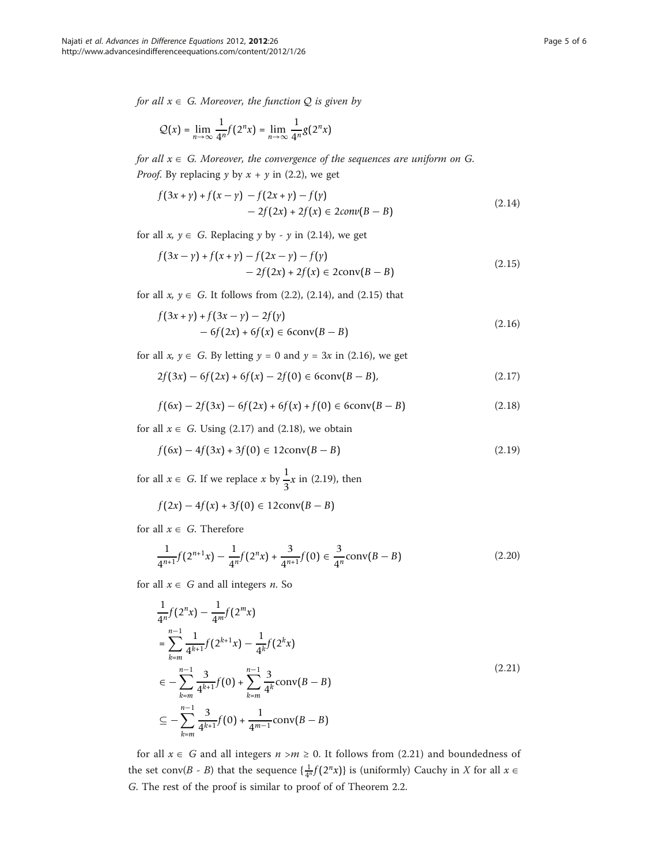for all  $x \in G$ . Moreover, the function *Q* is given by

$$
Q(x) = \lim_{n \to \infty} \frac{1}{4^n} f(2^n x) = \lim_{n \to \infty} \frac{1}{4^n} g(2^n x)
$$

for all  $x \in G$ . Moreover, the convergence of the sequences are uniform on G. *Proof.* By replacing  $y$  by  $x + y$  in (2.2), we get

$$
f(3x + y) + f(x - y) - f(2x + y) - f(y)
$$
  
- 2f(2x) + 2f(x) \in 2conv(B - B) (2.14)

for all  $x, y \in G$ . Replacing y by - y in (2.14), we get

$$
f(3x - y) + f(x + y) - f(2x - y) - f(y)
$$
  
- 2f(2x) + 2f(x) \in 2conv(B - B) (2.15)

for all  $x, y \in G$ . It follows from (2.2), (2.14), and (2.15) that

$$
f(3x + y) + f(3x - y) - 2f(y)
$$
  
- 6f(2x) + 6f(x) \in 6conv(B - B) (2.16)

for all  $x, y \in G$ . By letting  $y = 0$  and  $y = 3x$  in (2.16), we get

$$
2f(3x) - 6f(2x) + 6f(x) - 2f(0) \in 6\text{conv}(B - B),\tag{2.17}
$$

$$
f(6x) - 2f(3x) - 6f(2x) + 6f(x) + f(0) \in 6\text{conv}(B - B)
$$
\n(2.18)

for all  $x \in G$ . Using (2.17) and (2.18), we obtain

$$
f(6x) - 4f(3x) + 3f(0) \in 12\text{conv}(B - B)
$$
\n(2.19)

for all  $x \in G$ . If we replace x by  $\frac{1}{3}x$  in (2.19), then

$$
f(2x) - 4f(x) + 3f(0) \in 12\text{conv}(B - B)
$$

for all  $x \in G$ . Therefore

$$
\frac{1}{4^{n+1}}f(2^{n+1}x) - \frac{1}{4^n}f(2^nx) + \frac{3}{4^{n+1}}f(0) \in \frac{3}{4^n}\operatorname{conv}(B - B)
$$
\n(2.20)

for all  $x \in G$  and all integers *n*. So

$$
\frac{1}{4^n}f(2^nx) - \frac{1}{4^m}f(2^mx)
$$
\n
$$
= \sum_{k=m}^{n-1} \frac{1}{4^{k+1}}f(2^{k+1}x) - \frac{1}{4^k}f(2^kx)
$$
\n
$$
\in -\sum_{k=m}^{n-1} \frac{3}{4^{k+1}}f(0) + \sum_{k=m}^{n-1} \frac{3}{4^k} \operatorname{conv}(B-B)
$$
\n
$$
\subseteq -\sum_{k=m}^{n-1} \frac{3}{4^{k+1}}f(0) + \frac{1}{4^{m-1}} \operatorname{conv}(B-B)
$$
\n(2.21)

for all  $x \in G$  and all integers  $n > m \ge 0$ . It follows from (2.21) and boundedness of the set conv(*B* - *B*) that the sequence  $\left\{ \frac{1}{4^n} f(2^n x) \right\}$  is (uniformly) Cauchy in *X* for all  $x \in$ G. The rest of the proof is similar to proof of of Theorem 2.2.